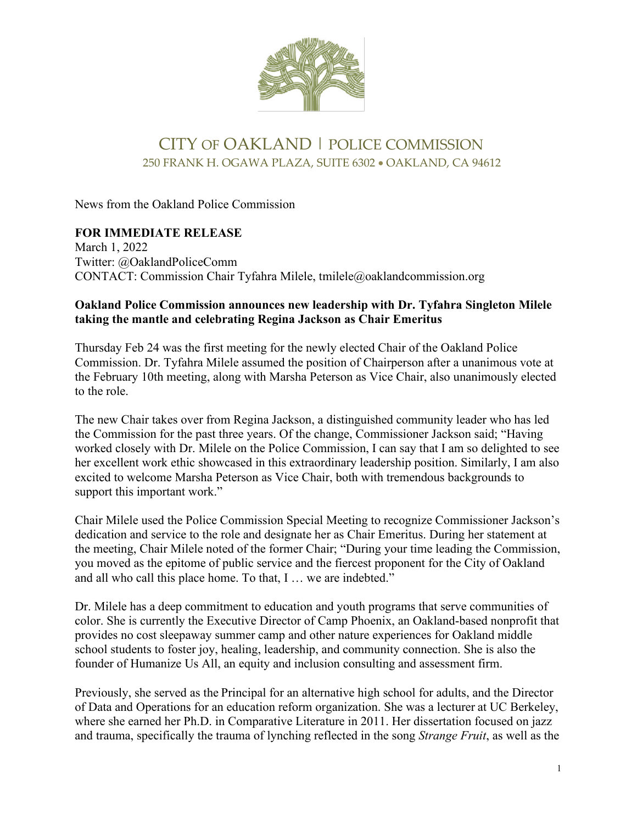

## CITY OF OAKLAND | POLICE COMMISSION 250 FRANK H. OGAWA PLAZA, SUITE 6302 • OAKLAND, CA 94612

News from the Oakland Police Commission

## **FOR IMMEDIATE RELEASE**

March 1, 2022 Twitter: @OaklandPoliceComm CONTACT: Commission Chair Tyfahra Milele, tmilele@oaklandcommission.org

## **Oakland Police Commission announces new leadership with Dr. Tyfahra Singleton Milele taking the mantle and celebrating Regina Jackson as Chair Emeritus**

Thursday Feb 24 was the first meeting for the newly elected Chair of the Oakland Police Commission. Dr. Tyfahra Milele assumed the position of Chairperson after a unanimous vote at the February 10th meeting, along with Marsha Peterson as Vice Chair, also unanimously elected to the role. 

The new Chair takes over from Regina Jackson, a distinguished community leader who has led the Commission for the past three years. Of the change, Commissioner Jackson said; "Having worked closely with Dr. Milele on the Police Commission, I can say that I am so delighted to see her excellent work ethic showcased in this extraordinary leadership position. Similarly, I am also excited to welcome Marsha Peterson as Vice Chair, both with tremendous backgrounds to support this important work."

Chair Milele used the Police Commission Special Meeting to recognize Commissioner Jackson's dedication and service to the role and designate her as Chair Emeritus. During her statement at the meeting, Chair Milele noted of the former Chair; "During your time leading the Commission, you moved as the epitome of public service and the fiercest proponent for the City of Oakland and all who call this place home. To that, I … we are indebted."

Dr. Milele has a deep commitment to education and youth programs that serve communities of color. She is currently the Executive Director of Camp Phoenix, an Oakland-based nonprofit that provides no cost sleepaway summer camp and other nature experiences for Oakland middle school students to foster joy, healing, leadership, and community connection. She is also the founder of Humanize Us All, an equity and inclusion consulting and assessment firm. 

Previously, she served as the Principal for an alternative high school for adults, and the Director of Data and Operations for an education reform organization. She was a lecturer at UC Berkeley, where she earned her Ph.D. in Comparative Literature in 2011. Her dissertation focused on jazz and trauma, specifically the trauma of lynching reflected in the song *Strange Fruit*, as well as the